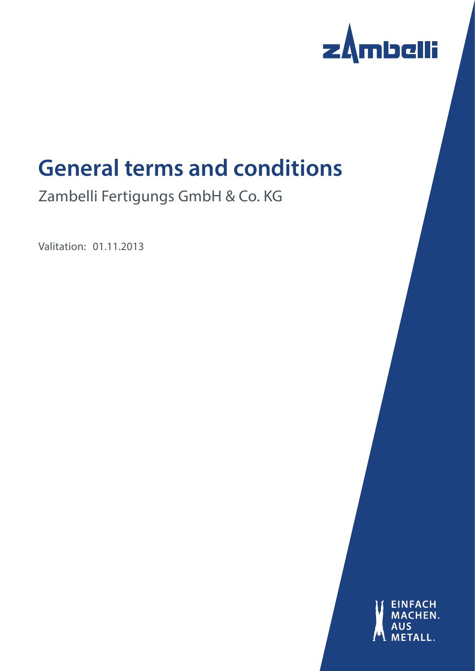

# **General terms and conditions**

Zambelli Fertigungs GmbH & Co. KG

Valitation: 01.11.2013

**EINFACH** HEN.  $\mathbf{H}$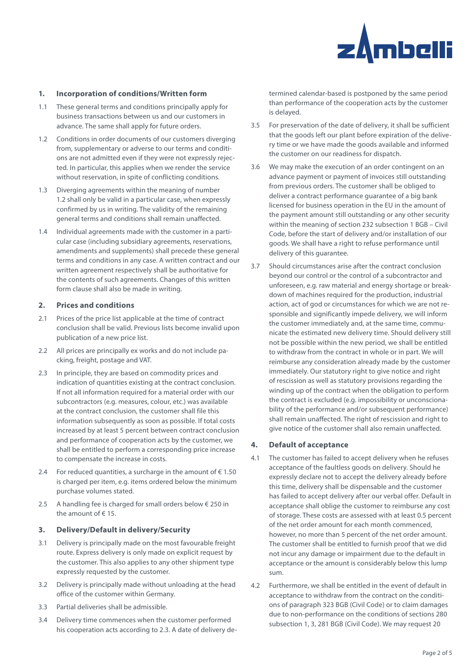

## **1. Incorporation of conditions/Written form**

- 1.1 These general terms and conditions principally apply for business transactions between us and our customers in advance. The same shall apply for future orders.
- 1.2 Conditions in order documents of our customers diverging from, supplementary or adverse to our terms and conditions are not admitted even if they were not expressly rejected. In particular, this applies when we render the service without reservation, in spite of conflicting conditions.
- 1.3 Diverging agreements within the meaning of number 1.2 shall only be valid in a particular case, when expressly confirmed by us in writing. The validity of the remaining general terms and conditions shall remain unaffected.
- 1.4 Individual agreements made with the customer in a particular case (including subsidiary agreements, reservations, amendments and supplements) shall precede these general terms and conditions in any case. A written contract and our written agreement respectively shall be authoritative for the contents of such agreements. Changes of this written form clause shall also be made in writing.

#### **2. Prices and conditions**

- 2.1 Prices of the price list applicable at the time of contract conclusion shall be valid. Previous lists become invalid upon publication of a new price list.
- 2.2 All prices are principally ex works and do not include packing, freight, postage and VAT.
- 2.3 In principle, they are based on commodity prices and indication of quantities existing at the contract conclusion. If not all information required for a material order with our subcontractors (e.g. measures, colour, etc.) was available at the contract conclusion, the customer shall file this information subsequently as soon as possible. If total costs increased by at least 5 percent between contract conclusion and performance of cooperation acts by the customer, we shall be entitled to perform a corresponding price increase to compensate the increase in costs.
- 2.4 For reduced quantities, a surcharge in the amount of  $\epsilon$  1.50 is charged per item, e.g. items ordered below the minimum purchase volumes stated.
- 2.5 A handling fee is charged for small orders below € 250 in the amount of € 15.

## **3. Delivery/Default in delivery/Security**

- 3.1 Delivery is principally made on the most favourable freight route. Express delivery is only made on explicit request by the customer. This also applies to any other shipment type expressly requested by the customer.
- 3.2 Delivery is principally made without unloading at the head office of the customer within Germany.
- 3.3 Partial deliveries shall be admissible.
- 3.4 Delivery time commences when the customer performed his cooperation acts according to 2.3. A date of delivery de-

termined calendar-based is postponed by the same period than performance of the cooperation acts by the customer is delayed.

- 3.5 For preservation of the date of delivery, it shall be sufficient that the goods left our plant before expiration of the delivery time or we have made the goods available and informed the customer on our readiness for dispatch.
- 3.6 We may make the execution of an order contingent on an advance payment or payment of invoices still outstanding from previous orders. The customer shall be obliged to deliver a contract performance guarantee of a big bank licensed for business operation in the EU in the amount of the payment amount still outstanding or any other security within the meaning of section 232 subsection 1 BGB – Civil Code, before the start of delivery and/or installation of our goods. We shall have a right to refuse performance until delivery of this guarantee.
- 3.7 Should circumstances arise after the contract conclusion beyond our control or the control of a subcontractor and unforeseen, e.g. raw material and energy shortage or breakdown of machines required for the production, industrial action, act of god or circumstances for which we are not responsible and significantly impede delivery, we will inform the customer immediately and, at the same time, communicate the estimated new delivery time. Should delivery still not be possible within the new period, we shall be entitled to withdraw from the contract in whole or in part. We will reimburse any consideration already made by the customer immediately. Our statutory right to give notice and right of rescission as well as statutory provisions regarding the winding up of the contract when the obligation to perform the contract is excluded (e.g. impossibility or unconscionability of the performance and/or subsequent performance) shall remain unaffected. The right of rescission and right to give notice of the customer shall also remain unaffected.

## **4. Default of acceptance**

- 4.1 The customer has failed to accept delivery when he refuses acceptance of the faultless goods on delivery. Should he expressly declare not to accept the delivery already before this time, delivery shall be dispensable and the customer has failed to accept delivery after our verbal offer. Default in acceptance shall oblige the customer to reimburse any cost of storage. These costs are assessed with at least 0.5 percent of the net order amount for each month commenced, however, no more than 5 percent of the net order amount. The customer shall be entitled to furnish proof that we did not incur any damage or impairment due to the default in acceptance or the amount is considerably below this lump sum.
- 4.2 Furthermore, we shall be entitled in the event of default in acceptance to withdraw from the contract on the conditions of paragraph 323 BGB (Civil Code) or to claim damages due to non-performance on the conditions of sections 280 subsection 1, 3, 281 BGB (Civil Code). We may request 20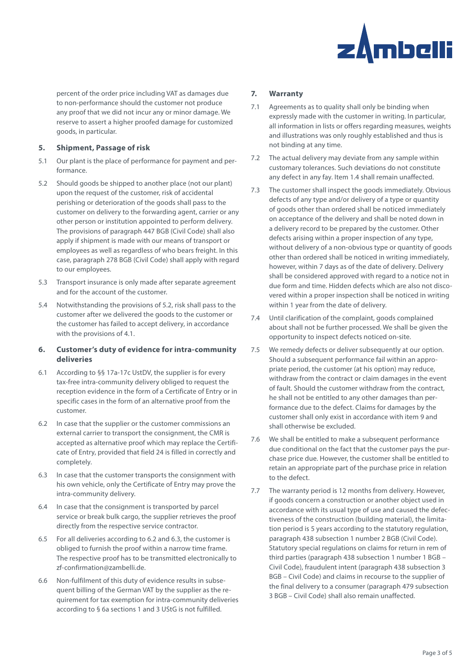

percent of the order price including VAT as damages due to non-performance should the customer not produce any proof that we did not incur any or minor damage. We reserve to assert a higher proofed damage for customized goods, in particular.

# **5. Shipment, Passage of risk**

- 5.1 Our plant is the place of performance for payment and performance.
- 5.2 Should goods be shipped to another place (not our plant) upon the request of the customer, risk of accidental perishing or deterioration of the goods shall pass to the customer on delivery to the forwarding agent, carrier or any other person or institution appointed to perform delivery. The provisions of paragraph 447 BGB (Civil Code) shall also apply if shipment is made with our means of transport or employees as well as regardless of who bears freight. In this case, paragraph 278 BGB (Civil Code) shall apply with regard to our employees.
- 5.3 Transport insurance is only made after separate agreement and for the account of the customer.
- 5.4 Notwithstanding the provisions of 5.2, risk shall pass to the customer after we delivered the goods to the customer or the customer has failed to accept delivery, in accordance with the provisions of 4.1.

# **6. Customer's duty of evidence for intra-community deliveries**

- 6.1 According to §§ 17a-17c UstDV, the supplier is for every tax-free intra-community delivery obliged to request the reception evidence in the form of a Certificate of Entry or in specific cases in the form of an alternative proof from the customer.
- 6.2 In case that the supplier or the customer commissions an external carrier to transport the consignment, the CMR is accepted as alternative proof which may replace the Certificate of Entry, provided that field 24 is filled in correctly and completely.
- 6.3 In case that the customer transports the consignment with his own vehicle, only the Certificate of Entry may prove the intra-community delivery.
- 6.4 In case that the consignment is transported by parcel service or break bulk cargo, the supplier retrieves the proof directly from the respective service contractor.
- 6.5 For all deliveries according to 6.2 and 6.3, the customer is obliged to furnish the proof within a narrow time frame. The respective proof has to be transmitted electronically to zf-confirmation@zambelli.de.
- 6.6 Non-fulfilment of this duty of evidence results in subsequent billing of the German VAT by the supplier as the requirement for tax exemption for intra-community deliveries according to § 6a sections 1 and 3 UStG is not fulfilled.

# **7. Warranty**

- 7.1 Agreements as to quality shall only be binding when expressly made with the customer in writing. In particular, all information in lists or offers regarding measures, weights and illustrations was only roughly established and thus is not binding at any time.
- 7.2 The actual delivery may deviate from any sample within customary tolerances. Such deviations do not constitute any defect in any fay. Item 1.4 shall remain unaffected.
- 7.3 The customer shall inspect the goods immediately. Obvious defects of any type and/or delivery of a type or quantity of goods other than ordered shall be noticed immediately on acceptance of the delivery and shall be noted down in a delivery record to be prepared by the customer. Other defects arising within a proper inspection of any type, without delivery of a non-obvious type or quantity of goods other than ordered shall be noticed in writing immediately, however, within 7 days as of the date of delivery. Delivery shall be considered approved with regard to a notice not in due form and time. Hidden defects which are also not discovered within a proper inspection shall be noticed in writing within 1 year from the date of delivery.
- 7.4 Until clarification of the complaint, goods complained about shall not be further processed. We shall be given the opportunity to inspect defects noticed on-site.
- 7.5 We remedy defects or deliver subsequently at our option. Should a subsequent performance fail within an appropriate period, the customer (at his option) may reduce, withdraw from the contract or claim damages in the event of fault. Should the customer withdraw from the contract, he shall not be entitled to any other damages than performance due to the defect. Claims for damages by the customer shall only exist in accordance with item 9 and shall otherwise be excluded.
- 7.6 We shall be entitled to make a subsequent performance due conditional on the fact that the customer pays the purchase price due. However, the customer shall be entitled to retain an appropriate part of the purchase price in relation to the defect.
- 7.7 The warranty period is 12 months from delivery. However, if goods concern a construction or another object used in accordance with its usual type of use and caused the defectiveness of the construction (building material), the limitation period is 5 years according to the statutory regulation, paragraph 438 subsection 1 number 2 BGB (Civil Code). Statutory special regulations on claims for return in rem of third parties (paragraph 438 subsection 1 number 1 BGB – Civil Code), fraudulent intent (paragraph 438 subsection 3 BGB – Civil Code) and claims in recourse to the supplier of the final delivery to a consumer (paragraph 479 subsection 3 BGB – Civil Code) shall also remain unaffected.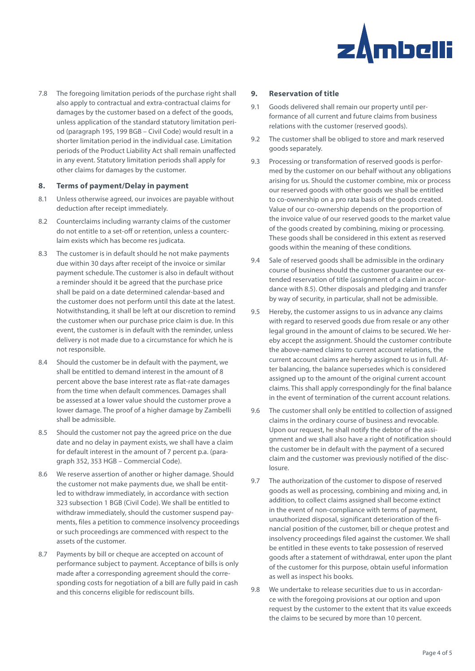

7.8 The foregoing limitation periods of the purchase right shall also apply to contractual and extra-contractual claims for damages by the customer based on a defect of the goods, unless application of the standard statutory limitation period (paragraph 195, 199 BGB – Civil Code) would result in a shorter limitation period in the individual case. Limitation periods of the Product Liability Act shall remain unaffected in any event. Statutory limitation periods shall apply for other claims for damages by the customer.

## **8. Terms of payment/Delay in payment**

- 8.1 Unless otherwise agreed, our invoices are payable without deduction after receipt immediately.
- 8.2 Counterclaims including warranty claims of the customer do not entitle to a set-off or retention, unless a counterclaim exists which has become res judicata.
- 8.3 The customer is in default should he not make payments due within 30 days after receipt of the invoice or similar payment schedule. The customer is also in default without a reminder should it be agreed that the purchase price shall be paid on a date determined calendar-based and the customer does not perform until this date at the latest. Notwithstanding, it shall be left at our discretion to remind the customer when our purchase price claim is due. In this event, the customer is in default with the reminder, unless delivery is not made due to a circumstance for which he is not responsible.
- 8.4 Should the customer be in default with the payment, we shall be entitled to demand interest in the amount of 8 percent above the base interest rate as flat-rate damages from the time when default commences. Damages shall be assessed at a lower value should the customer prove a lower damage. The proof of a higher damage by Zambelli shall be admissible.
- 8.5 Should the customer not pay the agreed price on the due date and no delay in payment exists, we shall have a claim for default interest in the amount of 7 percent p.a. (paragraph 352, 353 HGB – Commercial Code).
- 8.6 We reserve assertion of another or higher damage. Should the customer not make payments due, we shall be entitled to withdraw immediately, in accordance with section 323 subsection 1 BGB (Civil Code). We shall be entitled to withdraw immediately, should the customer suspend payments, files a petition to commence insolvency proceedings or such proceedings are commenced with respect to the assets of the customer.
- 8.7 Payments by bill or cheque are accepted on account of performance subject to payment. Acceptance of bills is only made after a corresponding agreement should the corresponding costs for negotiation of a bill are fully paid in cash and this concerns eligible for rediscount bills.

#### **9. Reservation of title**

- 9.1 Goods delivered shall remain our property until performance of all current and future claims from business relations with the customer (reserved goods).
- 9.2 The customer shall be obliged to store and mark reserved goods separately.
- 9.3 Processing or transformation of reserved goods is performed by the customer on our behalf without any obligations arising for us. Should the customer combine, mix or process our reserved goods with other goods we shall be entitled to co-ownership on a pro rata basis of the goods created. Value of our co-ownership depends on the proportion of the invoice value of our reserved goods to the market value of the goods created by combining, mixing or processing. These goods shall be considered in this extent as reserved goods within the meaning of these conditions.
- 9.4 Sale of reserved goods shall be admissible in the ordinary course of business should the customer guarantee our extended reservation of title (assignment of a claim in accordance with 8.5). Other disposals and pledging and transfer by way of security, in particular, shall not be admissible.
- 9.5 Hereby, the customer assigns to us in advance any claims with regard to reserved goods due from resale or any other legal ground in the amount of claims to be secured. We hereby accept the assignment. Should the customer contribute the above-named claims to current account relations, the current account claims are hereby assigned to us in full. After balancing, the balance supersedes which is considered assigned up to the amount of the original current account claims. This shall apply correspondingly for the final balance in the event of termination of the current account relations.
- 9.6 The customer shall only be entitled to collection of assigned claims in the ordinary course of business and revocable. Upon our request, he shall notify the debtor of the assignment and we shall also have a right of notification should the customer be in default with the payment of a secured claim and the customer was previously notified of the disclosure.
- 9.7 The authorization of the customer to dispose of reserved goods as well as processing, combining and mixing and, in addition, to collect claims assigned shall become extinct in the event of non-compliance with terms of payment, unauthorized disposal, significant deterioration of the financial position of the customer, bill or cheque protest and insolvency proceedings filed against the customer. We shall be entitled in these events to take possession of reserved goods after a statement of withdrawal, enter upon the plant of the customer for this purpose, obtain useful information as well as inspect his books.
- 9.8 We undertake to release securities due to us in accordance with the foregoing provisions at our option and upon request by the customer to the extent that its value exceeds the claims to be secured by more than 10 percent.